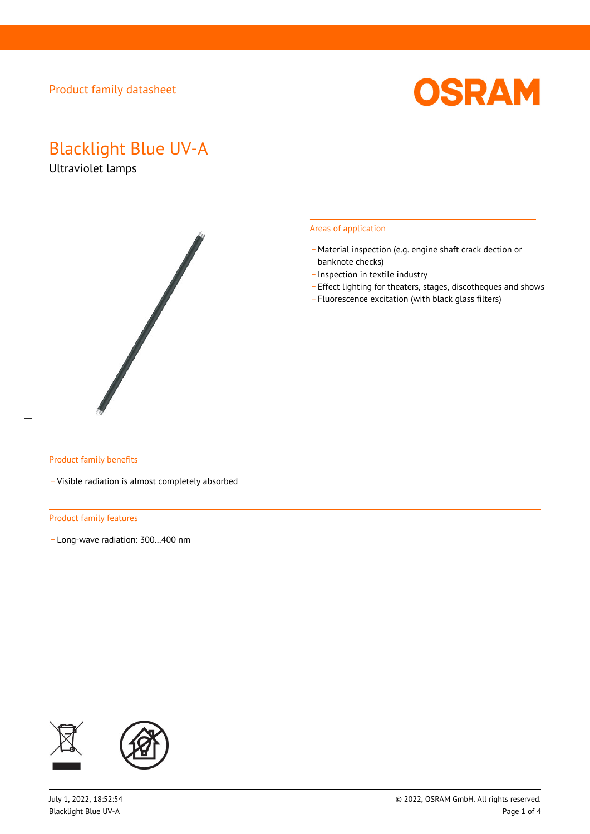

# Blacklight Blue UV-A

Ultraviolet lamps



#### Areas of application

- Material inspection (e.g. engine shaft crack dection or banknote checks)
- \_ Inspection in textile industry
- \_ Effect lighting for theaters, stages, discotheques and shows
- \_ Fluorescence excitation (with black glass filters)

### Product family benefits

\_ Visible radiation is almost completely absorbed

#### Product family features

\_ Long-wave radiation: 300…400 nm

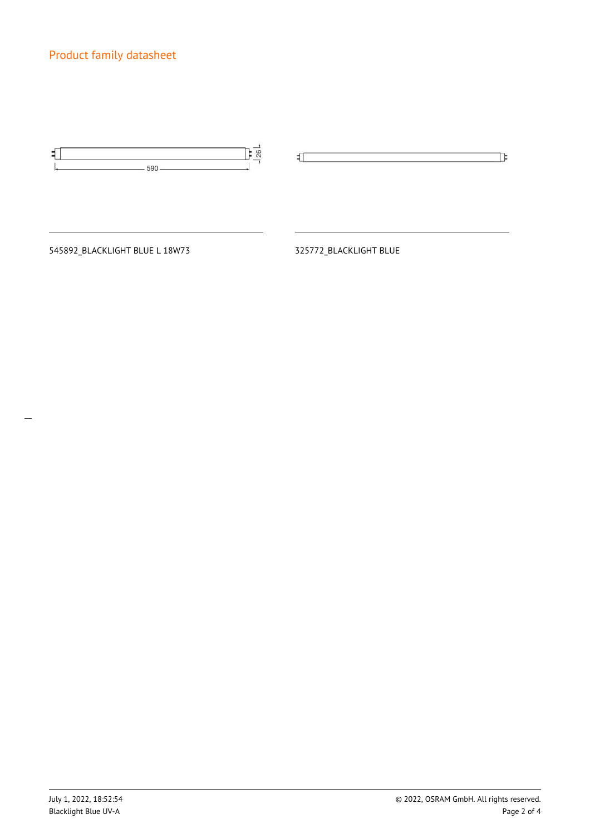545892\_BLACKLIGHT BLUE L 18W73 325772\_BLACKLIGHT BLUE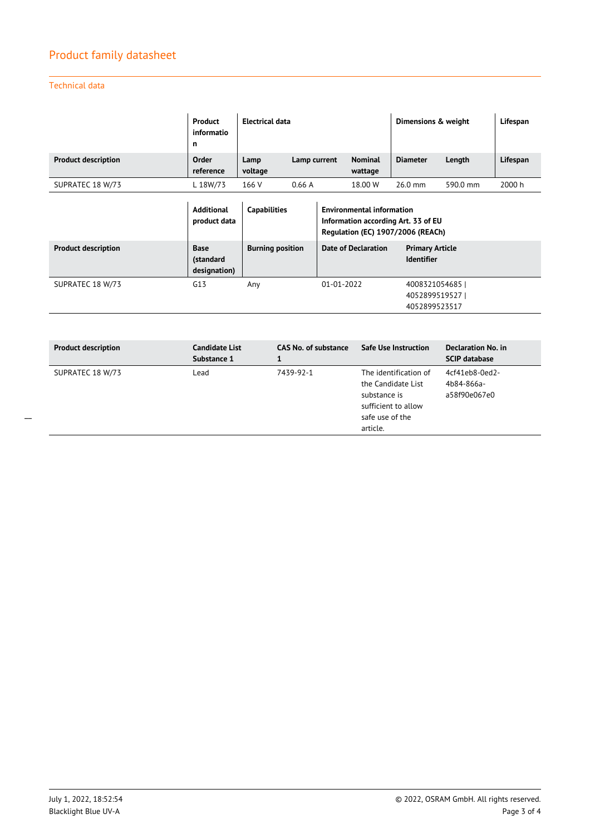Technical data

|                            | Product<br>informatio<br>n | Electrical data |              | Dimensions & weight       |                 | Lifespan |          |
|----------------------------|----------------------------|-----------------|--------------|---------------------------|-----------------|----------|----------|
| <b>Product description</b> | Order<br>reference         | Lamp<br>voltage | Lamp current | <b>Nominal</b><br>wattage | <b>Diameter</b> | Length   | Lifespan |
| SUPRATEC 18 W/73           | L 18W/73                   | 166 V           | 0.66A        | 18.00 W                   | $26.0$ mm       | 590.0 mm | 2000 h   |

|                            | <b>Additional</b><br>product data        | <b>Capabilities</b>     | <b>Environmental information</b><br>Information according Art. 33 of EU<br>Regulation (EC) 1907/2006 (REACh) |                                                 |
|----------------------------|------------------------------------------|-------------------------|--------------------------------------------------------------------------------------------------------------|-------------------------------------------------|
| <b>Product description</b> | <b>Base</b><br>(standard<br>designation) | <b>Burning position</b> | <b>Date of Declaration</b>                                                                                   | <b>Primary Article</b><br><b>Identifier</b>     |
| SUPRATEC 18 W/73           | G13                                      | Any                     | $01 - 01 - 2022$                                                                                             | 4008321054685<br>4052899519527<br>4052899523517 |

| <b>Product description</b> | <b>Candidate List</b><br>Substance 1 | <b>CAS No. of substance</b> | <b>Safe Use Instruction</b>                                                                                       | Declaration No. in<br><b>SCIP database</b>   |
|----------------------------|--------------------------------------|-----------------------------|-------------------------------------------------------------------------------------------------------------------|----------------------------------------------|
| SUPRATEC 18 W/73           | Lead                                 | 7439-92-1                   | The identification of<br>the Candidate List<br>substance is<br>sufficient to allow<br>safe use of the<br>article. | 4cf41eb8-0ed2-<br>4b84-866a-<br>a58f90e067e0 |